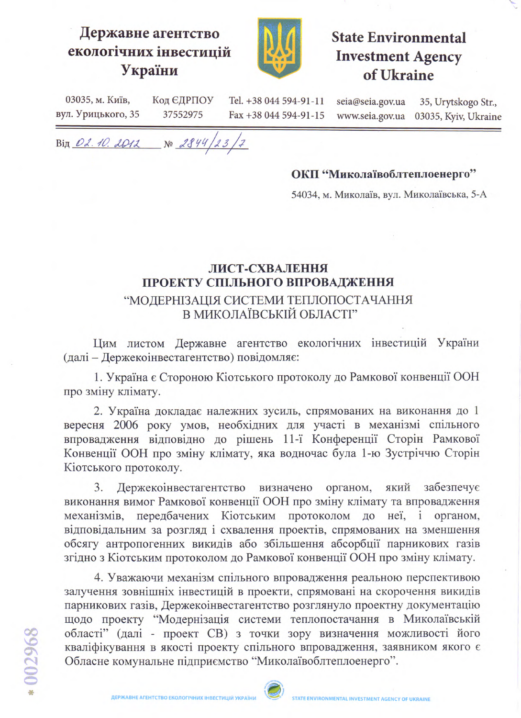## Державне агентство екологічних інвестицій України



## **State Environmental Investment Agency** of Ukraine

03035, м. Київ, Код ЄДРПОУ Tel. +38 044 594-91-11 вул. Урицького, 35 37552975 Fax +38 044 594-91-15

seia@seia.gov.ua www.seia.gov.ua

35, Urytskogo Str., 03035, Kyiv, Ukraine

Bin 02.10.2012 No 2844/23/7

## ОКП "Миколаївоблтеплоенерго"

54034, м. Миколаїв, вул. Миколаївська, 5-А

## ЛИСТ-СХВАЛЕННЯ ПРОЕКТУ СПІЛЬНОГО ВПРОВАДЖЕННЯ "МОДЕРНІЗАЦІЯ СИСТЕМИ ТЕПЛОПОСТАЧАННЯ В МИКОЛАЇВСЬКІЙ ОБЛАСТІ"

Цим листом Державне агентство екологічних інвестицій України (далі - Держекоінвестагентство) повідомляє:

1. Україна є Стороною Кіотського протоколу до Рамкової конвенції ООН про зміну клімату.

2. Україна докладає належних зусиль, спрямованих на виконання до 1 вересня 2006 року умов, необхідних для участі в механізмі спільного впровадження відповідно до рішень 11-ї Конференції Сторін Рамкової Конвенції ООН про зміну клімату, яка водночас була 1-ю Зустріччю Сторін Кіотського протоколу.

Держекоінвестагентство визначено органом, 3. який забезпечує виконання вимог Рамкової конвенції ООН про зміну клімату та впровадження механізмів, передбачених Кіотським протоколом до неї, і органом, відповідальним за розгляд і схвалення проектів, спрямованих на зменшення обсягу антропогенних викидів або збільшення абсорбції парникових газів згідно з Кіотським протоколом до Рамкової конвенції ООН про зміну клімату.

4. Уважаючи механізм спільного впровадження реальною перспективою залучення зовнішніх інвестицій в проекти, спрямовані на скорочення викидів парникових газів, Держекоінвестагентство розглянуло проектну документацію щодо проекту "Модернізація системи теплопостачання в Миколаївській області" (далі - проект СВ) з точки зору визначення можливості його кваліфікування в якості проекту спільного впровадження, заявником якого є Обласне комунальне підприємство "Миколаївоблтеплоенерго".